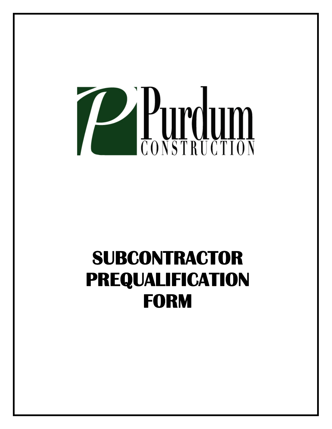

# **SUBCONTRACTOR PREQUALIFICATION FORM**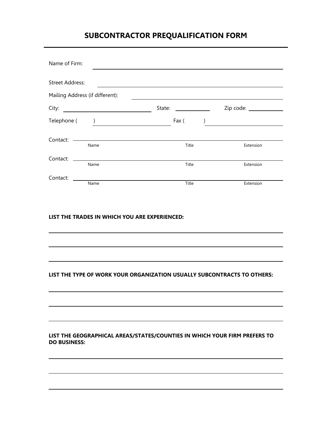# **SUBCONTRACTOR PREQUALIFICATION FORM**

| Name of Firm:          |                                                                                                                                                                                                                                                                                                                                                                    |                                 |           |
|------------------------|--------------------------------------------------------------------------------------------------------------------------------------------------------------------------------------------------------------------------------------------------------------------------------------------------------------------------------------------------------------------|---------------------------------|-----------|
| <b>Street Address:</b> |                                                                                                                                                                                                                                                                                                                                                                    |                                 |           |
|                        | Mailing Address (if different):                                                                                                                                                                                                                                                                                                                                    |                                 |           |
| City:                  | <u> 1989 - Andrea Station Barbara, amerikan per</u>                                                                                                                                                                                                                                                                                                                | State:<br><u> Alban Maria (</u> |           |
|                        | $\begin{picture}(150,10) \put(0,0){\vector(1,0){100}} \put(15,0){\vector(1,0){100}} \put(15,0){\vector(1,0){100}} \put(15,0){\vector(1,0){100}} \put(15,0){\vector(1,0){100}} \put(15,0){\vector(1,0){100}} \put(15,0){\vector(1,0){100}} \put(15,0){\vector(1,0){100}} \put(15,0){\vector(1,0){100}} \put(15,0){\vector(1,0){100}} \put(15,0){\vector(1,0){100}}$ | Fax (                           |           |
| Contact:               | <u> 1989 - Johann Barn, mars ann an t-Amhair an t-Amhair an t-Amhair an t-Amhair an t-Amhair an t-Amhair an t-Amh</u><br>Name                                                                                                                                                                                                                                      | Title                           | Extension |
| Contact:               | Name                                                                                                                                                                                                                                                                                                                                                               | Title                           | Extension |
| Contact:               | Name                                                                                                                                                                                                                                                                                                                                                               | Title                           | Extension |

# **LIST THE TRADES IN WHICH YOU ARE EXPERIENCED:**

I

I

j

Ξ

# **LIST THE TYPE OF WORK YOUR ORGANIZATION USUALLY SUBCONTRACTS TO OTHERS:**

# **LIST THE GEOGRAPHICAL AREAS/STATES/COUNTIES IN WHICH YOUR FIRM PREFERS TO DO BUSINESS:**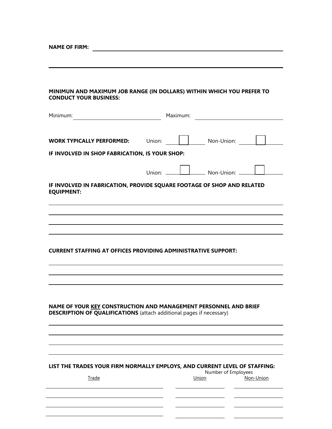# **MINIMUN AND MAXIMUM JOB RANGE (IN DOLLARS) WITHIN WHICH YOU PREFER TO CONDUCT YOUR BUSINESS:**

| Minimum:                                       | Maximum:                                                                                                                                        |
|------------------------------------------------|-------------------------------------------------------------------------------------------------------------------------------------------------|
| <b>WORK TYPICALLY PERFORMED:</b>               | Non-Union:<br>Union:                                                                                                                            |
| IF INVOLVED IN SHOP FABRICATION, IS YOUR SHOP: |                                                                                                                                                 |
|                                                | $\Box$ Non-Union: $\Box$                                                                                                                        |
| <b>EQUIPMENT:</b>                              | IF INVOLVED IN FABRICATION, PROVIDE SQUARE FOOTAGE OF SHOP AND RELATED                                                                          |
|                                                |                                                                                                                                                 |
|                                                |                                                                                                                                                 |
|                                                |                                                                                                                                                 |
|                                                | <b>CURRENT STAFFING AT OFFICES PROVIDING ADMINISTRATIVE SUPPORT:</b>                                                                            |
|                                                |                                                                                                                                                 |
|                                                |                                                                                                                                                 |
|                                                |                                                                                                                                                 |
|                                                | NAME OF YOUR KEY CONSTRUCTION AND MANAGEMENT PERSONNEL AND BRIEF<br><b>DESCRIPTION OF QUALIFICATIONS</b> (attach additional pages if necessary) |
|                                                |                                                                                                                                                 |
|                                                |                                                                                                                                                 |
|                                                | LIST THE TRADES YOUR FIRM NORMALLY EMPLOYS, AND CURRENT LEVEL OF STAFFING:                                                                      |
| <b>Trade</b>                                   | Number of Employees<br>Union<br>Non-Union                                                                                                       |
|                                                |                                                                                                                                                 |
|                                                |                                                                                                                                                 |

L,

 $\overline{\phantom{0}}$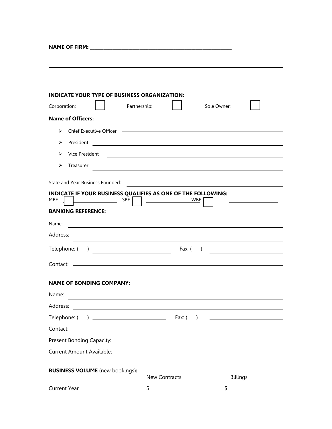**NAME OF FIRM: \_\_\_\_\_\_\_\_\_\_\_\_\_\_\_\_\_\_\_\_\_\_\_\_\_\_\_\_\_\_\_\_\_\_\_\_\_\_\_\_\_\_\_\_\_\_\_\_\_\_\_\_\_\_\_\_\_\_\_\_\_\_\_** 

| <b>INDICATE YOUR TYPE OF BUSINESS ORGANIZATION:</b>                        |                                                                                                                      |                                                                                                                                 |
|----------------------------------------------------------------------------|----------------------------------------------------------------------------------------------------------------------|---------------------------------------------------------------------------------------------------------------------------------|
| <u> 1999 - Jan Bartha, Amerikaansk kon</u><br>Corporation:                 | Partnership:                                                                                                         | Sole Owner:                                                                                                                     |
| <b>Name of Officers:</b>                                                   |                                                                                                                      |                                                                                                                                 |
| ➤                                                                          |                                                                                                                      |                                                                                                                                 |
| President<br>⋗                                                             |                                                                                                                      |                                                                                                                                 |
| Vice President<br>↘                                                        |                                                                                                                      | and the control of the control of the control of the control of the control of the control of the control of the                |
| ⋗<br>Treasurer                                                             |                                                                                                                      | ,我们也不会有一个人的人,我们也不会有一个人的人,我们也不会有一个人的人。""我们的人,我们也不会有一个人的人,我们也不会有一个人的人。""我们的人,我们也不会                                                |
| State and Year Business Founded:                                           |                                                                                                                      | <u> 1989 - Johann Marie Barn, mars and de Branch and de Branch and de Branch and de Branch and de Branch and de Br</u>          |
| INDICATE IF YOUR BUSINESS QUALIFIES AS ONE OF THE FOLLOWING:<br>MBE<br>SBE |                                                                                                                      | WBE                                                                                                                             |
| <b>BANKING REFERENCE:</b>                                                  |                                                                                                                      |                                                                                                                                 |
| Name:                                                                      |                                                                                                                      |                                                                                                                                 |
| Address:                                                                   |                                                                                                                      |                                                                                                                                 |
|                                                                            | Fax: $($                                                                                                             | $\big)$<br><u> 1989 - Andrea Albert III, politik a postal de la provincia de la provincia de la provincia de la provincia d</u> |
|                                                                            |                                                                                                                      |                                                                                                                                 |
| <b>NAME OF BONDING COMPANY:</b>                                            |                                                                                                                      |                                                                                                                                 |
| Name:                                                                      |                                                                                                                      |                                                                                                                                 |
| Address:                                                                   |                                                                                                                      |                                                                                                                                 |
| Telephone: (                                                               | Fax: (                                                                                                               |                                                                                                                                 |
| Contact:                                                                   |                                                                                                                      |                                                                                                                                 |
| Present Bonding Capacity:                                                  | <u> 1980 - Jan James James Barbara, político establecente de la propia de la propia de la propia de la propia de</u> |                                                                                                                                 |
|                                                                            |                                                                                                                      |                                                                                                                                 |
|                                                                            |                                                                                                                      |                                                                                                                                 |
| <b>BUSINESS VOLUME</b> (new bookings):                                     | <b>New Contracts</b>                                                                                                 | <b>Billings</b>                                                                                                                 |
| <b>Current Year</b>                                                        |                                                                                                                      |                                                                                                                                 |

and the control of the control of the control of the control of the control of the control of the control of the

L,